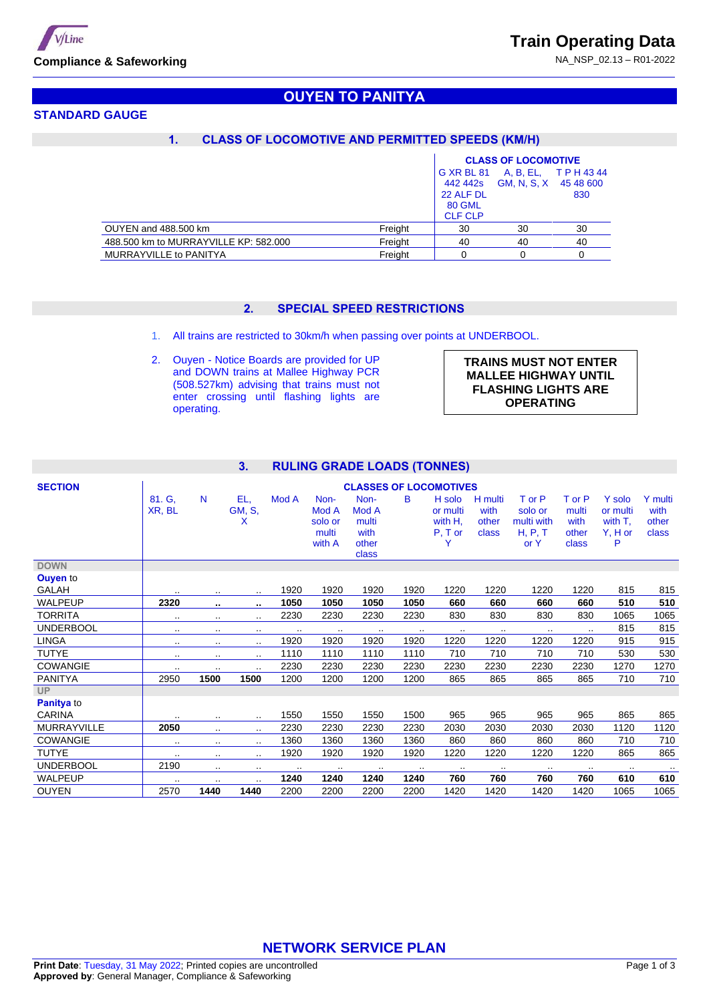NA\_NSP\_02.13 – R01-2022



# **STANDARD GAUGE**

# **OUYEN TO PANITYA**

### **1. CLASS OF LOCOMOTIVE AND PERMITTED SPEEDS (KM/H)**

|                                       |         | <b>CLASS OF LOCOMOTIVE</b> |             |             |  |
|---------------------------------------|---------|----------------------------|-------------|-------------|--|
|                                       |         | G XR BL 81                 | A, B, EL,   | T P H 43 44 |  |
|                                       |         | 442 442s                   | GM, N, S, X | 45 48 600   |  |
|                                       |         | 22 ALF DL                  |             | 830         |  |
|                                       |         | <b>80 GML</b>              |             |             |  |
|                                       |         | <b>CLF CLP</b>             |             |             |  |
| OUYEN and 488,500 km                  | Freight | 30                         | 30          | 30          |  |
| 488,500 km to MURRAYVILLE KP: 582,000 | Freight | 40                         | 40          | 40          |  |
| MURRAYVILLE to PANITYA                | Freight |                            |             |             |  |

## **2. SPECIAL SPEED RESTRICTIONS**

- 1. All trains are restricted to 30km/h when passing over points at UNDERBOOL.
- 2. Ouyen Notice Boards are provided for UP and DOWN trains at Mallee Highway PCR (508.527km) advising that trains must not enter crossing until flashing lights are operating.

| <b>TRAINS MUST NOT ENTER</b> |
|------------------------------|
| <b>MALLEE HIGHWAY UNTIL</b>  |
| <b>FLASHING LIGHTS ARE</b>   |
| <b>OPERATING</b>             |

#### **3. RULING GRADE LOADS (TONNES)**

| <b>SECTION</b>   |                  |           |                    |       |                                             |                                                  | <b>CLASSES OF LOCOMOTIVES</b> |                                            |                                   |                                                    |                                           |                                                 |                                   |
|------------------|------------------|-----------|--------------------|-------|---------------------------------------------|--------------------------------------------------|-------------------------------|--------------------------------------------|-----------------------------------|----------------------------------------------------|-------------------------------------------|-------------------------------------------------|-----------------------------------|
|                  | 81. G.<br>XR, BL | N         | EL,<br>GM, S,<br>X | Mod A | Non-<br>Mod A<br>solo or<br>multi<br>with A | Non-<br>Mod A<br>multi<br>with<br>other<br>class | B                             | H solo<br>or multi<br>with H,<br>$P, T$ or | H multi<br>with<br>other<br>class | T or P<br>solo or<br>multi with<br>H, P, T<br>or Y | T or P<br>multi<br>with<br>other<br>class | Y solo<br>or multi<br>with T.<br>$Y, H$ or<br>P | Y multi<br>with<br>other<br>class |
| <b>DOWN</b>      |                  |           |                    |       |                                             |                                                  |                               |                                            |                                   |                                                    |                                           |                                                 |                                   |
| <b>Ouyen to</b>  |                  |           |                    |       |                                             |                                                  |                               |                                            |                                   |                                                    |                                           |                                                 |                                   |
| GALAH            | $\cdot$ .        |           | $\sim$ $\sim$      | 1920  | 1920                                        | 1920                                             | 1920                          | 1220                                       | 1220                              | 1220                                               | 1220                                      | 815                                             | 815                               |
| <b>WALPEUP</b>   | 2320             | $\bullet$ | ٠.                 | 1050  | 1050                                        | 1050                                             | 1050                          | 660                                        | 660                               | 660                                                | 660                                       | 510                                             | 510                               |
| <b>TORRITA</b>   |                  |           |                    | 2230  | 2230                                        | 2230                                             | 2230                          | 830                                        | 830                               | 830                                                | 830                                       | 1065                                            | 1065                              |
| <b>UNDERBOOL</b> |                  | $\cdot$ . |                    |       | $\sim$                                      | $\cdot$ .                                        | $\cdots$                      | $\sim$                                     | $\sim$ $\sim$                     | $\cdot$ .                                          | $\cdot$ .                                 | 815                                             | 815                               |
| <b>LINGA</b>     |                  | $\cdot$ . |                    | 1920  | 1920                                        | 1920                                             | 1920                          | 1220                                       | 1220                              | 1220                                               | 1220                                      | 915                                             | 915                               |
| <b>TUTYE</b>     |                  | $\cdot$ . |                    | 1110  | 1110                                        | 1110                                             | 1110                          | 710                                        | 710                               | 710                                                | 710                                       | 530                                             | 530                               |
| <b>COWANGIE</b>  | $\cdot$ .        |           |                    | 2230  | 2230                                        | 2230                                             | 2230                          | 2230                                       | 2230                              | 2230                                               | 2230                                      | 1270                                            | 1270                              |
| <b>PANITYA</b>   | 2950             | 1500      | 1500               | 1200  | 1200                                        | 1200                                             | 1200                          | 865                                        | 865                               | 865                                                | 865                                       | 710                                             | 710                               |
| <b>UP</b>        |                  |           |                    |       |                                             |                                                  |                               |                                            |                                   |                                                    |                                           |                                                 |                                   |
| Panitya to       |                  |           |                    |       |                                             |                                                  |                               |                                            |                                   |                                                    |                                           |                                                 |                                   |
| <b>CARINA</b>    | $\cdot$ .        | $\cdots$  |                    | 1550  | 1550                                        | 1550                                             | 1500                          | 965                                        | 965                               | 965                                                | 965                                       | 865                                             | 865                               |
| MURRAYVILLE      | 2050             | $\cdot$ . | $\cdots$           | 2230  | 2230                                        | 2230                                             | 2230                          | 2030                                       | 2030                              | 2030                                               | 2030                                      | 1120                                            | 1120                              |
| <b>COWANGIE</b>  | $\cdot$ .        | $\cdot$ . | $\sim$ $\sim$      | 1360  | 1360                                        | 1360                                             | 1360                          | 860                                        | 860                               | 860                                                | 860                                       | 710                                             | 710                               |
| <b>TUTYE</b>     |                  |           |                    | 1920  | 1920                                        | 1920                                             | 1920                          | 1220                                       | 1220                              | 1220                                               | 1220                                      | 865                                             | 865                               |
| <b>UNDERBOOL</b> | 2190             | $\cdot$ . |                    |       | $\cdot$ .                                   | $\cdot$ .                                        | $\sim$                        | $\cdot$ .                                  |                                   | $\cdot$ .                                          | $\cdot$ .                                 | $\cdot$ .                                       | $\sim$                            |
| <b>WALPEUP</b>   | $\cdot$ .        | $\cdot$ . |                    | 1240  | 1240                                        | 1240                                             | 1240                          | 760                                        | 760                               | 760                                                | 760                                       | 610                                             | 610                               |
| <b>OUYEN</b>     | 2570             | 1440      | 1440               | 2200  | 2200                                        | 2200                                             | 2200                          | 1420                                       | 1420                              | 1420                                               | 1420                                      | 1065                                            | 1065                              |

# **NETWORK SERVICE PLAN**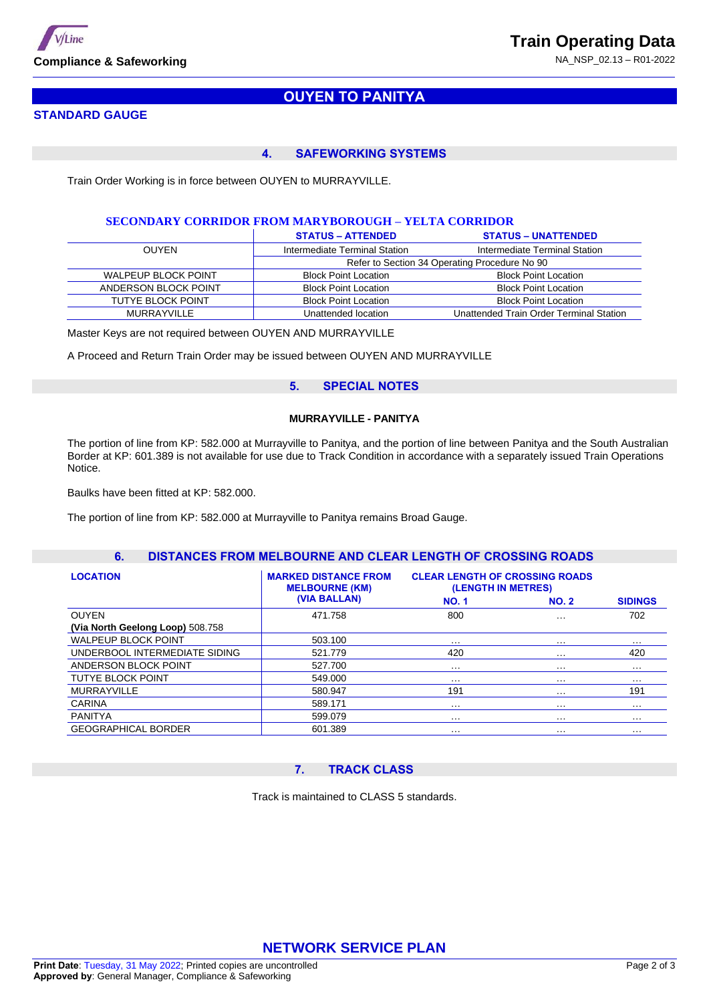

# **OUYEN TO PANITYA**

### **STANDARD GAUGE**

#### **4. SAFEWORKING SYSTEMS**

Train Order Working is in force between OUYEN to MURRAYVILLE.

#### **SECONDARY CORRIDOR FROM MARYBOROUGH – YELTA CORRIDOR**

|                            | <b>STATUS – ATTENDED</b>      | <b>STATUS - UNATTENDED</b>                    |
|----------------------------|-------------------------------|-----------------------------------------------|
| <b>OUYEN</b>               | Intermediate Terminal Station | Intermediate Terminal Station                 |
|                            |                               | Refer to Section 34 Operating Procedure No 90 |
| <b>WALPEUP BLOCK POINT</b> | <b>Block Point Location</b>   | <b>Block Point Location</b>                   |
| ANDERSON BLOCK POINT       | <b>Block Point Location</b>   | <b>Block Point Location</b>                   |
| TUTYE BLOCK POINT          | <b>Block Point Location</b>   | <b>Block Point Location</b>                   |
| MURRAYVILLE                | Unattended location           | Unattended Train Order Terminal Station       |

Master Keys are not required between OUYEN AND MURRAYVILLE

A Proceed and Return Train Order may be issued between OUYEN AND MURRAYVILLE

### **5. SPECIAL NOTES**

#### **MURRAYVILLE - PANITYA**

The portion of line from KP: 582.000 at Murrayville to Panitya, and the portion of line between Panitya and the South Australian Border at KP: 601.389 is not available for use due to Track Condition in accordance with a separately issued Train Operations Notice.

Baulks have been fitted at KP: 582.000.

The portion of line from KP: 582.000 at Murrayville to Panitya remains Broad Gauge.

### **6. DISTANCES FROM MELBOURNE AND CLEAR LENGTH OF CROSSING ROADS**

| <b>LOCATION</b>                  | <b>MARKED DISTANCE FROM</b><br><b>MELBOURNE (KM)</b> | <b>CLEAR LENGTH OF CROSSING ROADS</b><br>(LENGTH IN METRES) |              |                |
|----------------------------------|------------------------------------------------------|-------------------------------------------------------------|--------------|----------------|
|                                  | (VIA BALLAN)                                         | <b>NO.1</b>                                                 | <b>NO. 2</b> | <b>SIDINGS</b> |
| <b>OUYEN</b>                     | 471.758                                              | 800                                                         | $\cdots$     | 702            |
| (Via North Geelong Loop) 508.758 |                                                      |                                                             |              |                |
| <b>WALPEUP BLOCK POINT</b>       | 503.100                                              | $\cdots$                                                    | $\cdots$     | $\cdots$       |
| UNDERBOOL INTERMEDIATE SIDING    | 521.779                                              | 420                                                         | $\cdots$     | 420            |
| ANDERSON BLOCK POINT             | 527.700                                              | .                                                           | $\cdots$     | $\cdots$       |
| <b>TUTYE BLOCK POINT</b>         | 549.000                                              | .                                                           | $\cdots$     | $\cdots$       |
| <b>MURRAYVILLE</b>               | 580.947                                              | 191                                                         | $\cdots$     | 191            |
| <b>CARINA</b>                    | 589.171                                              | .                                                           | $\cdots$     | $\cdots$       |
| <b>PANITYA</b>                   | 599.079                                              | .                                                           | $\cdots$     | $\cdots$       |
| <b>GEOGRAPHICAL BORDER</b>       | 601.389                                              | $\cdots$                                                    | $\cdots$     | $\cdots$       |

#### **7. TRACK CLASS**

Track is maintained to CLASS 5 standards.

# **NETWORK SERVICE PLAN**